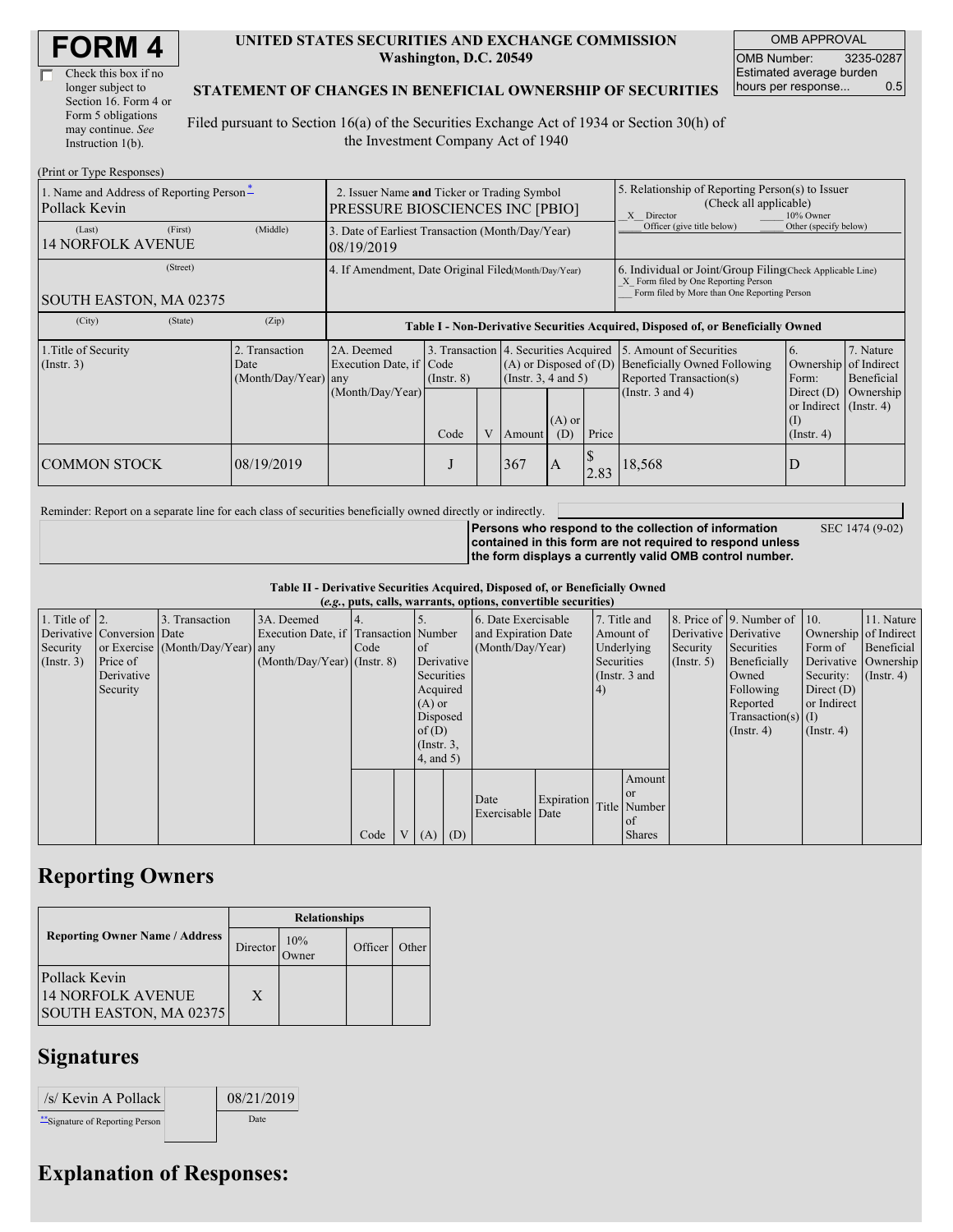| Check this box if no  |
|-----------------------|
| longer subject to     |
| Section 16. Form 4 or |
| Form 5 obligations    |
| may continue. See     |
| Instruction $1(b)$ .  |

#### **UNITED STATES SECURITIES AND EXCHANGE COMMISSION Washington, D.C. 20549**

OMB APPROVAL OMB Number: 3235-0287 Estimated average burden hours per response... 0.5

#### **STATEMENT OF CHANGES IN BENEFICIAL OWNERSHIP OF SECURITIES**

Filed pursuant to Section 16(a) of the Securities Exchange Act of 1934 or Section 30(h) of the Investment Company Act of 1940

| (Print or Type Responses)                                 |                                                                                       |            |                                                                                  |                                                          |  |                                                    |                                                                                                                                                    |       |                                                                                           |                                                                   |                         |  |  |
|-----------------------------------------------------------|---------------------------------------------------------------------------------------|------------|----------------------------------------------------------------------------------|----------------------------------------------------------|--|----------------------------------------------------|----------------------------------------------------------------------------------------------------------------------------------------------------|-------|-------------------------------------------------------------------------------------------|-------------------------------------------------------------------|-------------------------|--|--|
| 1. Name and Address of Reporting Person*<br>Pollack Kevin | 2. Issuer Name and Ticker or Trading Symbol<br><b>PRESSURE BIOSCIENCES INC [PBIO]</b> |            |                                                                                  |                                                          |  |                                                    | 5. Relationship of Reporting Person(s) to Issuer<br>(Check all applicable)<br>X Director<br>10% Owner                                              |       |                                                                                           |                                                                   |                         |  |  |
| (Last)<br><b>14 NORFOLK AVENUE</b>                        | (First)                                                                               | (Middle)   | 3. Date of Earliest Transaction (Month/Day/Year)<br>08/19/2019                   |                                                          |  |                                                    |                                                                                                                                                    |       | Officer (give title below)<br>Other (specify below)                                       |                                                                   |                         |  |  |
| SOUTH EASTON, MA 02375                                    | 4. If Amendment, Date Original Filed Month/Day/Year)                                  |            |                                                                                  |                                                          |  |                                                    | 6. Individual or Joint/Group Filing Check Applicable Line)<br>X Form filed by One Reporting Person<br>Form filed by More than One Reporting Person |       |                                                                                           |                                                                   |                         |  |  |
| (City)                                                    | (State)                                                                               | (Zip)      | Table I - Non-Derivative Securities Acquired, Disposed of, or Beneficially Owned |                                                          |  |                                                    |                                                                                                                                                    |       |                                                                                           |                                                                   |                         |  |  |
| 1. Title of Security<br>$($ Instr. 3 $)$                  | 2. Transaction<br>Date<br>$(Month/Day/Year)$ any                                      |            | 2A. Deemed<br>Execution Date, if Code                                            | 3. Transaction 4. Securities Acquired<br>$($ Instr. $8)$ |  | $(A)$ or Disposed of $(D)$<br>(Insert. 3, 4 and 5) |                                                                                                                                                    |       | 5. Amount of Securities<br><b>Beneficially Owned Following</b><br>Reported Transaction(s) | 6.<br>Ownership of Indirect<br>Form:                              | 7. Nature<br>Beneficial |  |  |
|                                                           |                                                                                       |            | (Month/Day/Year)                                                                 | Code                                                     |  | Amount                                             | $(A)$ or<br>(D)                                                                                                                                    | Price | (Instr. $3$ and $4$ )                                                                     | Direct $(D)$<br>or Indirect (Instr. 4)<br>(I)<br>$($ Instr. 4 $)$ | Ownership               |  |  |
| <b>COMMON STOCK</b>                                       |                                                                                       | 08/19/2019 |                                                                                  | J                                                        |  | 367                                                | $\mathbf{A}$                                                                                                                                       | 2.83  | 18,568                                                                                    | D                                                                 |                         |  |  |

Reminder: Report on a separate line for each class of securities beneficially owned directly or indirectly.

SEC 1474 (9-02)

**Persons who respond to the collection of information contained in this form are not required to respond unless the form displays a currently valid OMB control number.**

**Table II - Derivative Securities Acquired, Disposed of, or Beneficially Owned (***e.g.***, puts, calls, warrants, options, convertible securities)**

|                        |                            |                                  |                                       |        |                 |                     | $(c, g, \mu u, \alpha u)$ , variants, options, convertible securities) |            |            |                       |                      |                              |                  |                      |
|------------------------|----------------------------|----------------------------------|---------------------------------------|--------|-----------------|---------------------|------------------------------------------------------------------------|------------|------------|-----------------------|----------------------|------------------------------|------------------|----------------------|
| 1. Title of $\vert$ 2. |                            | 3. Transaction                   | 3A. Deemed                            |        |                 |                     | 6. Date Exercisable                                                    |            |            | 7. Title and          |                      | 8. Price of 9. Number of 10. |                  | 11. Nature           |
|                        | Derivative Conversion Date |                                  | Execution Date, if Transaction Number |        |                 | and Expiration Date |                                                                        |            | Amount of  | Derivative Derivative |                      | Ownership of Indirect        |                  |                      |
| Security               |                            | or Exercise (Month/Day/Year) any |                                       | I Code | of              | (Month/Day/Year)    |                                                                        |            | Underlying | Security              | Securities           | Form of                      | Beneficial       |                      |
| (Insert. 3)            | Price of                   |                                  | $(Month/Day/Year)$ (Instr. 8)         |        | Derivative      |                     |                                                                        |            | Securities |                       | $($ Instr. 5 $)$     | Beneficially                 |                  | Derivative Ownership |
|                        | Derivative                 |                                  |                                       |        | Securities      |                     |                                                                        |            |            | (Instr. 3 and         |                      | Owned                        | Security:        | $($ Instr. 4)        |
|                        | Security                   |                                  |                                       |        | Acquired        |                     |                                                                        |            | 4)         |                       |                      | Following                    | Direct $(D)$     |                      |
|                        |                            |                                  |                                       |        | $(A)$ or        |                     |                                                                        |            |            |                       |                      | Reported                     | or Indirect      |                      |
|                        |                            |                                  |                                       |        |                 | Disposed            |                                                                        |            |            |                       | Transaction(s) $(I)$ |                              |                  |                      |
|                        |                            |                                  |                                       |        | of $(D)$        |                     |                                                                        |            |            |                       |                      | $($ Instr. 4 $)$             | $($ Instr. 4 $)$ |                      |
|                        |                            |                                  |                                       |        | $($ Instr. $3,$ |                     |                                                                        |            |            |                       |                      |                              |                  |                      |
|                        |                            |                                  |                                       |        | (4, and 5)      |                     |                                                                        |            |            |                       |                      |                              |                  |                      |
|                        |                            |                                  |                                       |        |                 |                     |                                                                        |            |            | Amount                |                      |                              |                  |                      |
|                        |                            |                                  |                                       |        |                 |                     | Date                                                                   | Expiration |            | or or                 |                      |                              |                  |                      |
|                        |                            |                                  |                                       |        |                 |                     | Exercisable Date                                                       |            |            | Title Number          |                      |                              |                  |                      |
|                        |                            |                                  |                                       |        |                 |                     |                                                                        |            |            | of                    |                      |                              |                  |                      |
|                        |                            |                                  |                                       | Code   | $V(A)$ (D)      |                     |                                                                        |            |            | <b>Shares</b>         |                      |                              |                  |                      |

### **Reporting Owners**

|                                                              | <b>Relationships</b> |              |         |       |  |  |  |  |
|--------------------------------------------------------------|----------------------|--------------|---------|-------|--|--|--|--|
| <b>Reporting Owner Name / Address</b>                        | Director             | 10%<br>)wner | Officer | Other |  |  |  |  |
| Pollack Kevin<br>14 NORFOLK AVENUE<br>SOUTH EASTON, MA 02375 | X                    |              |         |       |  |  |  |  |

## **Signatures**

 $\sqrt{s}$  Kevin A Pollack 08/21/2019 \*\*Signature of Reporting Person Date

# **Explanation of Responses:**